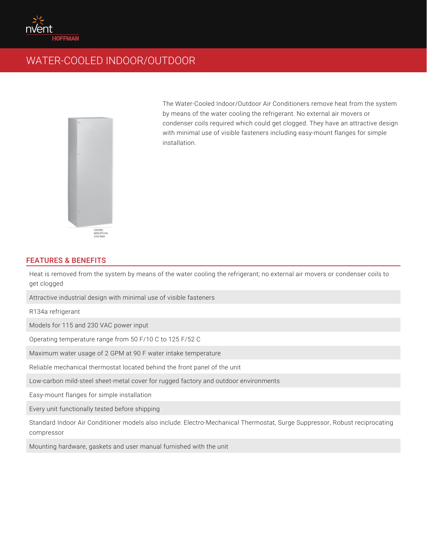

## WATER-COOLED INDOOR/OUTDOOR



The Water-Cooled Indoor/Outdoor Air Conditioners remove heat from the system by means of the water cooling the refrigerant. No external air movers or condenser coils required which could get clogged. They have an attractive design with minimal use of visible fasteners including easy-mount flanges for simple installation.

## FEATURES & BENEFITS

Heat is removed from the system by means of the water cooling the refrigerant; no external air movers or condenser coils to get clogged

Attractive industrial design with minimal use of visible fasteners

R134a refrigerant

Models for 115 and 230 VAC power input

Operating temperature range from 50 F/10 C to 125 F/52 C

Maximum water usage of 2 GPM at 90 F water intake temperature

Reliable mechanical thermostat located behind the front panel of the unit

Low-carbon mild-steel sheet-metal cover for rugged factory and outdoor environments

Easy-mount flanges for simple installation

Every unit functionally tested before shipping

Standard Indoor Air Conditioner models also include: Electro-Mechanical Thermostat, Surge Suppressor, Robust reciprocating compressor

Mounting hardware, gaskets and user manual furnished with the unit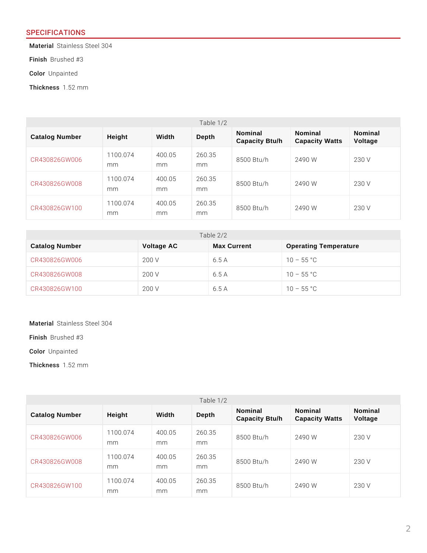## SPECIFICATIONS

MateriSatlainless Steel 304

FinisBhrushed #3

ColoUnpainted

Thickne1s. \$2 mm

| Table<br>1/2   |                 |               |               |                           |                           |                    |
|----------------|-----------------|---------------|---------------|---------------------------|---------------------------|--------------------|
| Catalog Number | Height          | Width         | Depth         | Nominal<br>Capacity Btu/h | Nominal<br>Capacity Watts | Nominal<br>Voltage |
| CR430826GW006  | 1100.074<br>m m | 400.05<br>m m | 260.35<br>m m | $8500$ Btu/h              | 2490 W                    | 230 V              |
| CR430826GW008  | 1100.074<br>m m | 400.05<br>m m | 260.35<br>m m | $8500$ Btu/h              | 2490 W                    | 230 V              |
| CR430826GW100  | 1100.074<br>m m | 400.05<br>m m | 260.35<br>m m | $8500$ Btu/h              | 2490 W                    | 230 V              |

| Table $2/2$    |            |             |                              |  |  |  |
|----------------|------------|-------------|------------------------------|--|--|--|
| Catalog Number | Voltage AC | Max Current | <b>Operating Temperature</b> |  |  |  |
| CR430826GW006  | 200 V      | 6.5 A       | 55 °C<br>10                  |  |  |  |
| CR430826GW008  | 200 V      | 6.5 A       | 55 °C<br>10                  |  |  |  |
| CR430826GW100  | 200 V      | 6.5 A       | 55 °C<br>10                  |  |  |  |

MateriSatlainless Steel 304

FinisBhrushed #3

ColoUnpainted

Thickne1s. \$2 mm

| Table $1/2$    |                 |               |               |                           |                           |                    |
|----------------|-----------------|---------------|---------------|---------------------------|---------------------------|--------------------|
| Catalog Number | Height          | Width         | Depth         | Nominal<br>Capacity Btu/h | Nominal<br>Capacity Watts | Nominal<br>Voltage |
| CR430826GW006  | 1100.074<br>m m | 400.05<br>m m | 260.35<br>m m | $8500$ Btu/h              | 2490 W                    | 230 V              |
| CR430826GW008  | 1100.074<br>m m | 400.05<br>m m | 260.35<br>m m | $8500$ Btu/h              | 2490 W                    | 230 V              |
| CR430826GW100  | 1100.074<br>m m | 400.05<br>m m | 260.35<br>m m | 8500 Btu/h                | 2490 W                    | 230 V              |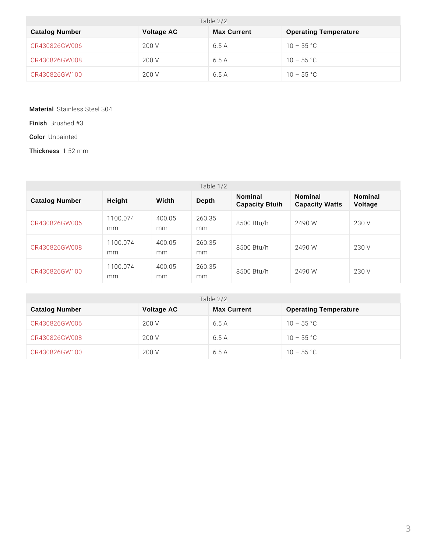| Table $2/2$    |            |             |                              |  |  |  |
|----------------|------------|-------------|------------------------------|--|--|--|
| Catalog Number | Voltage AC | Max Current | <b>Operating Temperature</b> |  |  |  |
| CR430826GW006  | 200 V      | 6.5 A       | 55 °C<br>10                  |  |  |  |
| CR430826GW008  | 200 V      | 6.5 A       | 55 °C<br>10                  |  |  |  |
| CR430826GW100  | 200 V      | 6.5 A       | 55 °C<br>10                  |  |  |  |

MateriSatlainless Steel 304

FinisBhrushed #3

ColoUnpainted

Thickne1s. \$2 mm

| Table $1/2$    |                 |               |               |                           |                                  |                    |
|----------------|-----------------|---------------|---------------|---------------------------|----------------------------------|--------------------|
| Catalog Number | Height          | Width         | Depth         | Nominal<br>Capacity Btu/h | Nominal<br><b>Capacity Watts</b> | Nominal<br>Voltage |
| CR430826GW006  | 1100.074<br>m m | 400.05<br>m m | 260.35<br>m m | $8500$ Btu/h              | 2490 W                           | 230 V              |
| CR430826GW008  | 1100.074<br>m m | 400.05<br>m m | 260.35<br>m m | $8500$ Btu/h              | 2490 W                           | 230 V              |
| CR430826GW100  | 1100.074<br>m m | 400.05<br>m m | 260.35<br>m m | $8500$ Btu/h              | 2490 W                           | 230 V              |

| Table $2/2$    |            |             |                              |  |  |  |
|----------------|------------|-------------|------------------------------|--|--|--|
| Catalog Number | Voltage AC | Max Current | <b>Operating Temperature</b> |  |  |  |
| CR430826GW006  | 200 V      | 6.5 A       | 55 °C<br>10                  |  |  |  |
| CR430826GW008  | 200 V      | 6.5 A       | 55 °C<br>10                  |  |  |  |
| CR430826GW100  | 200 V      | 6.5 A       | 55 °C<br>10                  |  |  |  |